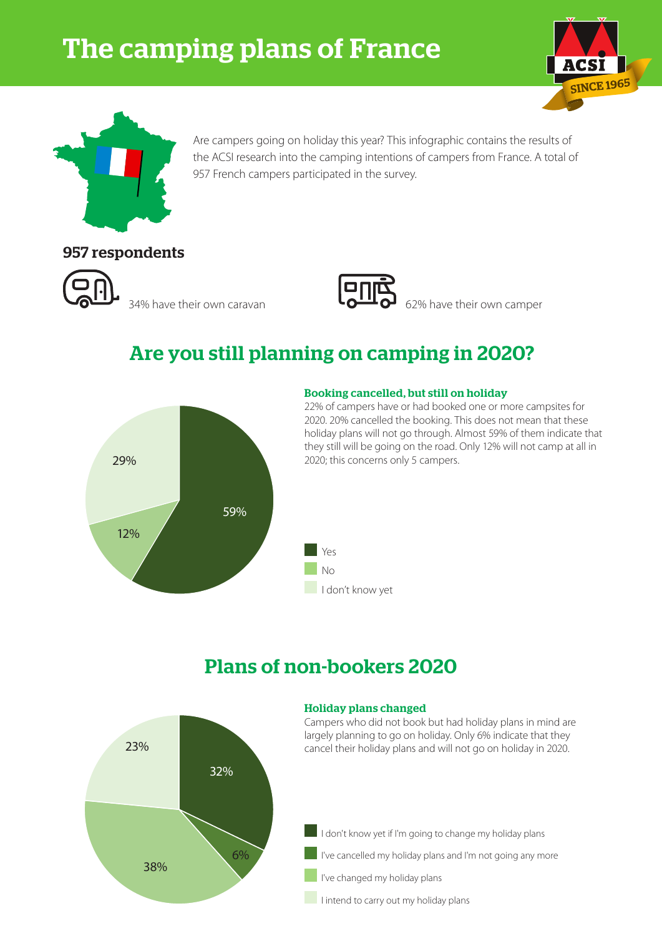# The camping plans of France





Are campers going on holiday this year? This infographic contains the results of the ACSI research into the camping intentions of campers from France. A total of 957 French campers participated in the survey.

### 957 respondents





34% have their own caravan **62% 62%** have their own camper

# Are you still planning on camping in 2020?



#### Booking cancelled, but still on holiday

22% of campers have or had booked one or more campsites for 2020. 20% cancelled the booking. This does not mean that these holiday plans will not go through. Almost 59% of them indicate that they still will be going on the road. Only 12% will not camp at all in 2020; this concerns only 5 campers.



# Plans of non-bookers 2020